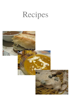# Recipes

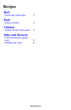## <span id="page-1-1"></span>**Recipes**

<span id="page-1-0"></span>

| <b>Beef</b><br>French dip sandwiches                                 | 3 |
|----------------------------------------------------------------------|---|
| <b>Pork</b><br>Italian calzones                                      |   |
| <b>Chicken</b><br>Grilled chicken with capers                        | 5 |
| <b>Sides and Desserts</b><br><b>Curried butternut squash</b><br>soup |   |
| Pumpkin pie soup                                                     |   |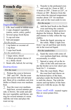### <span id="page-2-0"></span>**French dip**

#### sandwiches

| Makes:      | 6 - 8 sandwiches |
|-------------|------------------|
| Roast prep: | 15 minutes       |
| Roast time: | $1 - 4$ hours    |
| Remaining:  | 45 minutes       |

#### *Ingredients*

- $\Box$  4 lb. beef round or sirloin roast
- $\Box$  2 cups chopped vegetables (onion, carrot, celery, garlic)
- $\Box$  Several sprigs fresh thyme
- $\Box$  4/4 cup red wine
- $\Box$  Salt and pepper

*For the au jus*

- $\Box$  1 tsp butter or coconut oil
- $\Box$  1 tsp flour
- $\Box$  2 cups beef broth

*For the sandwiches*

- $\Box$  1 large onion, sliced
- $\Box$  1/2 block provolone cheese (4 oz.), thinly sliced
- $\Box$  Steak rolls, halved, for serving

#### *Instructions*

#### *For the roast*

Preheat the oven to between

200◦ and 350◦ . Pat the roast dry and season with salt and pepper. Heat oil in a medium cast-iron skillet or Dutch oven over medium heat.

Sear the roast over medium-

high heat, several minutes per side, to brown. Set aside and add the root vegetables and thyme, stirring for several minutes to sweat. Add the red wine and place the roast on top.

Transfer to the preheated oven and cook for 1 hour at 300◦ , 1 <sup>1</sup>/<sup>2</sup> hours at 250◦ , 2 hours at 225◦ , or 4 hours at 180◦ . Remove from the oven when the internal temperature reaches about 135◦ for mediumrare, and set the roast aside to rest.

#### *For the au jus*

 $\Delta$  Add the beef broth to the Dutch oven and bring the contents to a boil, using a wooden spoon to deglaze the bottom. Reduce heat and simmer to fully soften the vegetables.

5. Strain the liquid, pressing on the solids. Make a light roux from 1 tsp oil and flour and slowly stir in the reserved liquid.

#### *For the sandwiches*

 $6.$  Sauté the onion with some oil over medium-high heat, stirring occasionally, to soften.

Spread or spray oil on the insides of the rolls and toast under the broiler set to low (don't preheat) for 3 - 4 minutes.

Slice the roast thinly. Place

the roast beef and cheese on the bottom-halves of the buns, and place under the broiler briefly to melt the cheese. Top with the onions and top-halves of the buns and serve with the au jus, for dipping.

*Goes well with* roasted vegetables or sweet potato fries.

#### *Notes*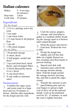## <span id="page-3-0"></span>**Italian calzones**

| Makes:     | 4 - 6 servings |
|------------|----------------|
|            | (8 calzones)   |
| Prep time: | 1 hour         |
| Cook time: | 25 minutes     |

### *Ingredients*

*For the dough*

- $\Box$  1 ( $\frac{1}{4}$  oz.) package active dry yeast
- $\Box$  1 tsp sugar
- $\Box$  1 cup warm water
- $\Box$  2  $\frac{1}{2}$  cups bread or all-purpose flour
- $\Box$  1 tsp salt
- $\Box$  1 Tbs dried oregano

*For the filling*

- $\Box$  1 lb ground sausage
- $\Box$  1/2 onion, diced
- $\Box$   $\frac{1}{2}$  bell pepper, seeded and diced
- $\Box$  1 tsp each dried basil, dried thyme, and red pepper flakes
- $\Box$  1/2 block Mozzarella cheese (4 oz.), diced
- $\Box$  1/2 cup sliced olives
- $\Box$  3/4 cup vodka or marinara sauce

*Instructions*<br>1 Combine the sugar, yeast, 1. Combine the sugar, yeast, and warm water in a large

bowl and rest 10 minutes to bloom. Add the other ingredients for the dough and mix well.



2. Cook the onions, peppers, sausage, and seasoning together in a medium skillet, breaking the sausage apart as it browns until cooked through.

3. Drain the grease and remove from heat. Preheat the oven to  $400^\circ$ .

- 4. Divide the dough into eighths and roll into thin disks on a lightly floured surface, keeping extra flour handy to prevent sticking.
- 5. Spread each disk with marinara sauce and divide the sausage mixture among them. Fold the dough around the sausage mixture, pressing flat, and fold or pinch the edges closed.

6. Transfer the calzones to pre-pared baking pans and use your fingers to spread a light coat of olive oil on the exposed dough. Cook in the preheated oven for 20 - 25 minutes, or until the crust is lightly browned.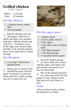#### <span id="page-4-0"></span>**Grilled chicken** with capers

Makes: 2 servings Time: 45 minutes

### *For the chicken*

- $\Box$  2 chicken breasts, butterflied
- $\Box$  Salt and pepper

1. Rub the chicken with salt and pepper. Add oil to a skillet and place over mediumhigh heat. Add the chicken and cook for 3 - 4 minutes, or until the edges have turned white, and flip. Cook until the chicken firms to the touch and is cooked through.

#### *For the pasta*

 $\Box$  2 servings<sup>\*</sup> fettuccini or linguini pasta

2. Bring a pot of water to boil and add the pasta. Boil for about 10 minutes or until soft. Drain and rinse to halt cooking, and stir in some olive oil.



#### *For the caper sauce*

- $\Box$  1 shallot, diced
- $\Box$  2 cloves garlic, minced
- $\Box$  2 Tbs capers
- $\Box$  1 cup white wine or chicken stock
- $\Box$  1 Tbs Dijon mustard
- $\Box$  1 Tbs dried parsley
- $\Box$  4 cup plain Greek yogurt

3. Sauté the shallot and gar-lic with a little oil to soften. Add the capers and white wine and simmer, uncovered, to reduce by about half.

4. Mix in the mustard and pars-ley, and season with salt and pepper to taste. Remove from heat and stir in the Greek yogurt.

#### *Notes*

\*One serving of pasta is about the diameter of a nickel.